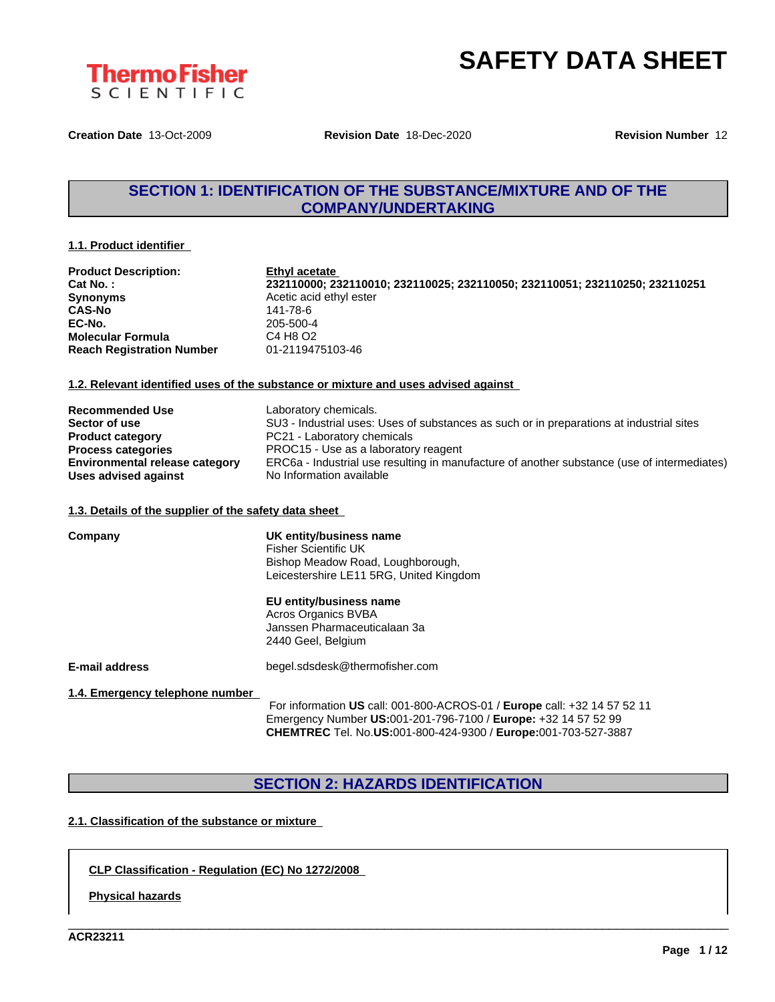



**Creation Date** 13-Oct-2009 **Revision Date** 18-Dec-2020 **Revision Number** 12

# **SECTION 1: IDENTIFICATION OF THE SUBSTANCE/MIXTURE AND OF THE COMPANY/UNDERTAKING**

#### **1.1. Product identifier**

| <b>Product Description:</b>      | Ethyl acetate                                                               |
|----------------------------------|-----------------------------------------------------------------------------|
| Cat No.:                         | 232110000; 232110010; 232110025; 232110050; 232110051; 232110250; 232110251 |
| <b>Synonyms</b>                  | Acetic acid ethyl ester                                                     |
| <b>CAS-No</b>                    | 141-78-6                                                                    |
| EC-No.                           | 205-500-4                                                                   |
| <b>Molecular Formula</b>         | C4 H8 O2                                                                    |
| <b>Reach Registration Number</b> | 01-2119475103-46                                                            |
|                                  |                                                                             |

### **1.2. Relevant identified uses of the substance or mixture and uses advised against**

| <b>Recommended Use</b>                | Laboratory chemicals.                                                                       |
|---------------------------------------|---------------------------------------------------------------------------------------------|
| Sector of use                         | SU3 - Industrial uses: Uses of substances as such or in preparations at industrial sites    |
| <b>Product category</b>               | PC21 - Laboratory chemicals                                                                 |
| <b>Process categories</b>             | PROC15 - Use as a laboratory reagent                                                        |
| <b>Environmental release category</b> | ERC6a - Industrial use resulting in manufacture of another substance (use of intermediates) |
| Uses advised against                  | No Information available                                                                    |

#### **1.3. Details of the supplier of the safety data sheet**

| Company                         | UK entity/business name<br><b>Fisher Scientific UK</b><br>Bishop Meadow Road, Loughborough,<br>Leicestershire LE11 5RG, United Kingdom                                                  |  |  |  |  |
|---------------------------------|-----------------------------------------------------------------------------------------------------------------------------------------------------------------------------------------|--|--|--|--|
|                                 | EU entity/business name<br>Acros Organics BVBA<br>Janssen Pharmaceuticalaan 3a<br>2440 Geel, Belgium                                                                                    |  |  |  |  |
| <b>E-mail address</b>           | begel.sdsdesk@thermofisher.com                                                                                                                                                          |  |  |  |  |
| 1.4. Emergency telephone number | For information US call: 001-800-ACROS-01 / Europe call: +32 14 57 52 11<br>$\Gamma_{\text{measmon}}$ , Number UC-004, 204, 700, 7400 / $\Gamma_{\text{measmon}}$ , 220, 44, 57, 59, 00 |  |  |  |  |

Emergency Number **US:**001-201-796-7100 / **Europe:** +32 14 57 52 99 **CHEMTREC** Tel. No.**US:**001-800-424-9300 / **Europe:**001-703-527-3887

\_\_\_\_\_\_\_\_\_\_\_\_\_\_\_\_\_\_\_\_\_\_\_\_\_\_\_\_\_\_\_\_\_\_\_\_\_\_\_\_\_\_\_\_\_\_\_\_\_\_\_\_\_\_\_\_\_\_\_\_\_\_\_\_\_\_\_\_\_\_\_\_\_\_\_\_\_\_\_\_\_\_\_\_\_\_\_\_\_\_\_\_\_\_

# **SECTION 2: HAZARDS IDENTIFICATION**

## **2.1. Classification of the substance or mixture**

### **CLP Classification - Regulation (EC) No 1272/2008**

**Physical hazards**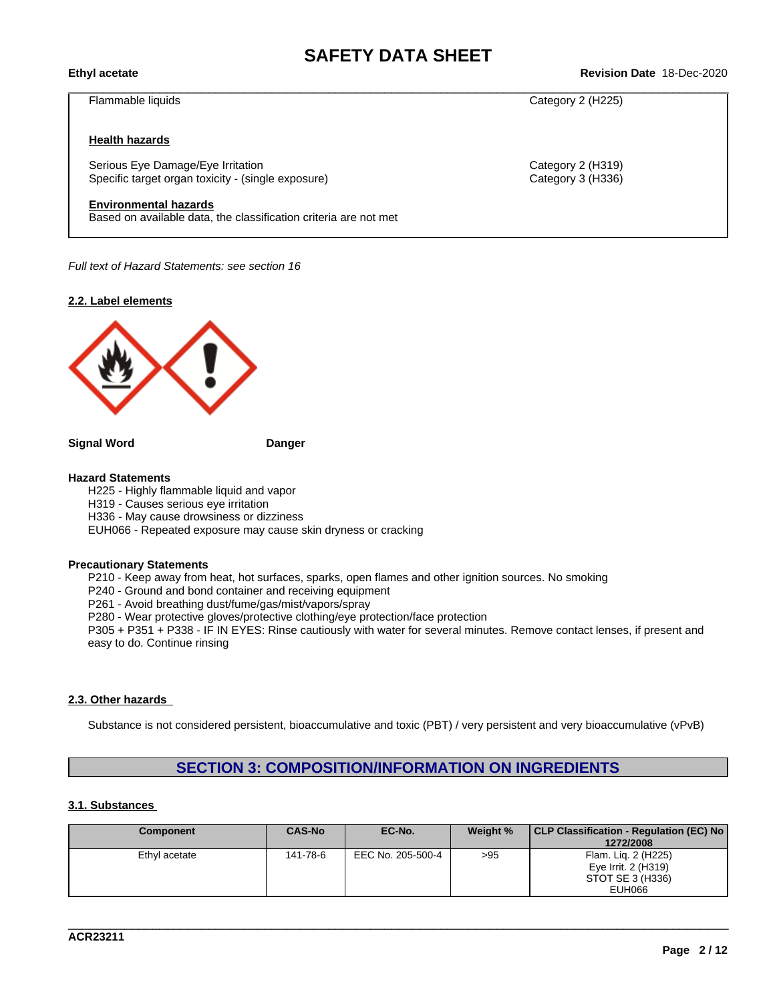\_\_\_\_\_\_\_\_\_\_\_\_\_\_\_\_\_\_\_\_\_\_\_\_\_\_\_\_\_\_\_\_\_\_\_\_\_\_\_\_\_\_\_\_\_\_\_\_\_\_\_\_\_\_\_\_\_\_\_\_\_\_\_\_\_\_\_\_\_\_\_\_\_\_\_\_\_\_\_\_\_\_\_\_\_\_\_\_\_\_\_\_\_\_ **Ethyl acetate Revision Date** 18-Dec-2020

Flammable liquids Category 2 (H225)

#### **Health hazards**

Serious Eye Damage/Eye Irritation Category 2 (H319) Specific target organ toxicity - (single exposure) Category 3 (H336) Category 3 (H336)

#### **Environmental hazards**

Based on available data, the classification criteria are not met

*Full text of Hazard Statements: see section 16*

**2.2. Label elements**



**Signal Word Danger**

#### **Hazard Statements**

H225 - Highly flammable liquid and vapor H319 - Causes serious eye irritation

H336 - May cause drowsiness or dizziness

EUH066 - Repeated exposure may cause skin dryness or cracking

#### **Precautionary Statements**

P210 - Keep away from heat, hot surfaces, sparks, open flames and other ignition sources. No smoking

P240 - Ground and bond container and receiving equipment

P261 - Avoid breathing dust/fume/gas/mist/vapors/spray

P280 - Wear protective gloves/protective clothing/eye protection/face protection

P305 + P351 + P338 - IF IN EYES: Rinse cautiously with water for several minutes. Remove contact lenses, if present and easy to do. Continue rinsing

#### **2.3. Other hazards**

Substance is not considered persistent, bioaccumulative and toxic (PBT) / very persistent and very bioaccumulative (vPvB)

## **SECTION 3: COMPOSITION/INFORMATION ON INGREDIENTS**

#### **3.1. Substances**

| <b>Component</b> | <b>CAS-No</b> | EC-No.            | Weight % | CLP Classification - Regulation (EC) No<br>1272/2008 |
|------------------|---------------|-------------------|----------|------------------------------------------------------|
| Ethyl acetate    | 141-78-6      | EEC No. 205-500-4 | >95      | Flam. Lig. 2 (H225)                                  |
|                  |               |                   |          | Eye Irrit. 2 (H319)<br>STOT SE 3 (H336)              |
|                  |               |                   |          | EUH066                                               |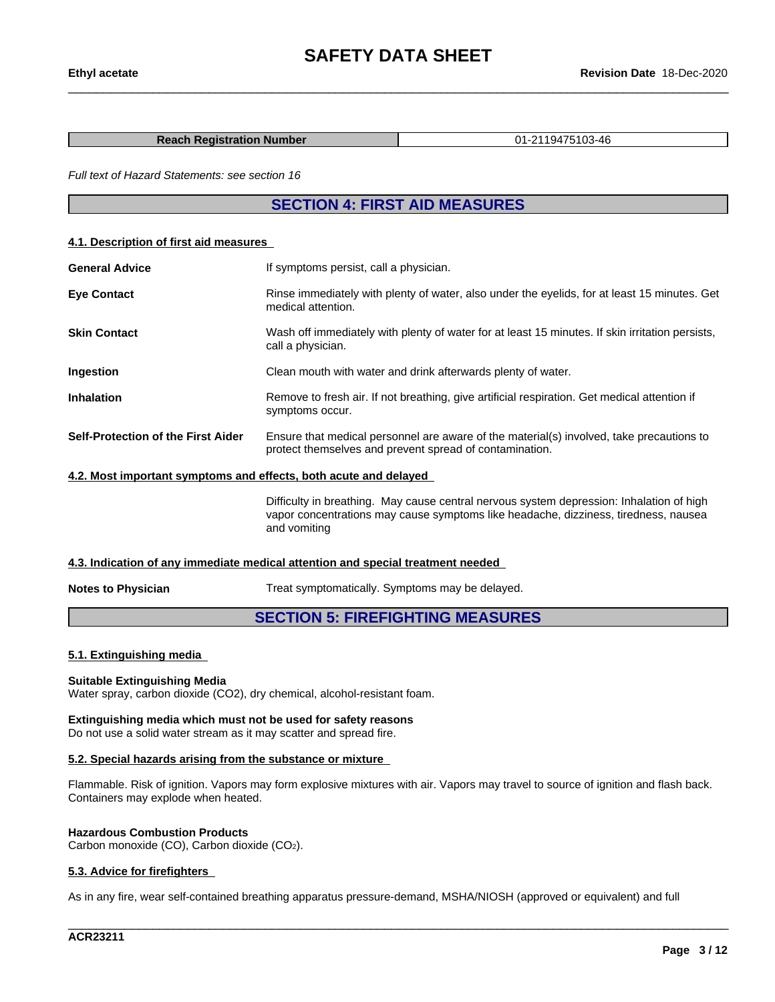#### **Reach Registration Number** 01-2119475103-46

*Full text of Hazard Statements: see section 16*

## **SECTION 4: FIRST AID MEASURES**

#### **4.1. Description of first aid measures**

| <b>General Advice</b>                                            | If symptoms persist, call a physician.                                                                                                                                                          |  |  |  |
|------------------------------------------------------------------|-------------------------------------------------------------------------------------------------------------------------------------------------------------------------------------------------|--|--|--|
| <b>Eye Contact</b>                                               | Rinse immediately with plenty of water, also under the eyelids, for at least 15 minutes. Get<br>medical attention.                                                                              |  |  |  |
| <b>Skin Contact</b>                                              | Wash off immediately with plenty of water for at least 15 minutes. If skin irritation persists,<br>call a physician.                                                                            |  |  |  |
| Ingestion                                                        | Clean mouth with water and drink afterwards plenty of water.                                                                                                                                    |  |  |  |
| <b>Inhalation</b>                                                | Remove to fresh air. If not breathing, give artificial respiration. Get medical attention if<br>symptoms occur.                                                                                 |  |  |  |
| Self-Protection of the First Aider                               | Ensure that medical personnel are aware of the material(s) involved, take precautions to<br>protect themselves and prevent spread of contamination.                                             |  |  |  |
| 4.2. Most important symptoms and effects, both acute and delayed |                                                                                                                                                                                                 |  |  |  |
|                                                                  | Difficulty in breathing. May cause central nervous system depression: Inhalation of high<br>vapor concentrations may cause symptoms like headache, dizziness, tiredness, nausea<br>and vomiting |  |  |  |

#### **4.3. Indication of any immediate medical attention and special treatment needed**

**Notes to Physician** Treat symptomatically. Symptoms may be delayed.

### **SECTION 5: FIREFIGHTING MEASURES**

### **5.1. Extinguishing media**

#### **Suitable Extinguishing Media**

Water spray, carbon dioxide (CO2), dry chemical, alcohol-resistant foam.

#### **Extinguishing media which must not be used for safety reasons**

Do not use a solid water stream as it may scatter and spread fire.

### **5.2. Special hazards arising from the substance or mixture**

Flammable. Risk of ignition. Vapors may form explosive mixtures with air. Vapors may travel to source of ignition and flash back. Containers may explode when heated.

#### **Hazardous Combustion Products**

Carbon monoxide (CO), Carbon dioxide (CO2).

#### **5.3. Advice for firefighters**

As in any fire, wear self-contained breathing apparatus pressure-demand, MSHA/NIOSH (approved or equivalent) and full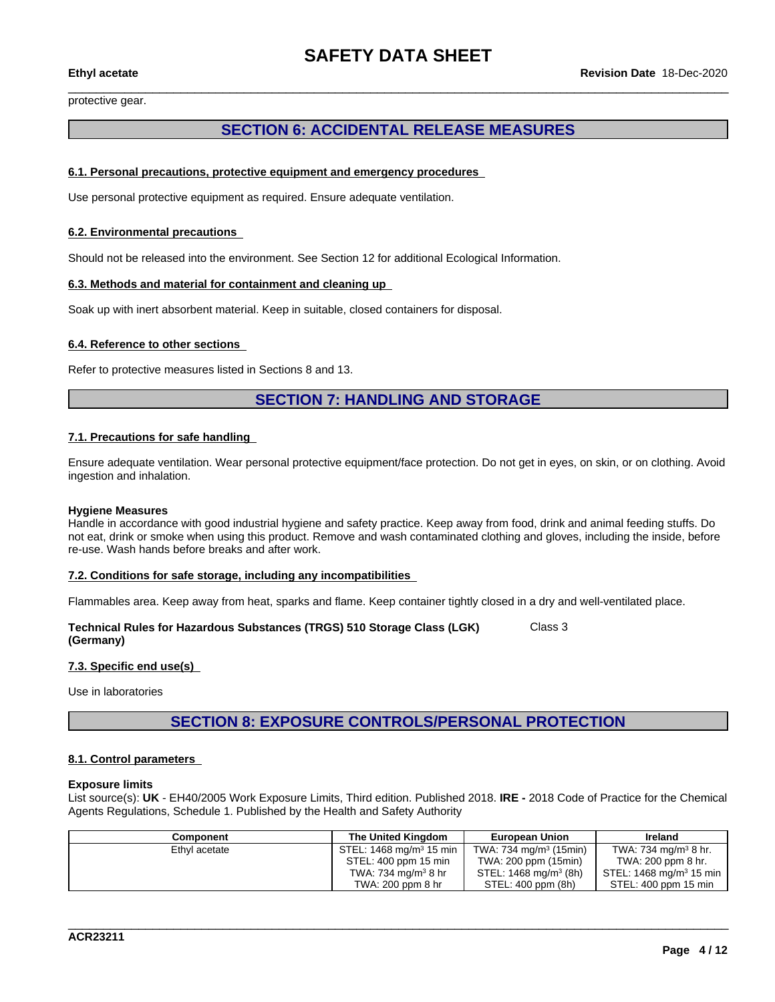protective gear.

# **SECTION 6: ACCIDENTAL RELEASE MEASURES**

#### **6.1. Personal precautions, protective equipment and emergency procedures**

Use personal protective equipment as required.Ensure adequate ventilation.

#### **6.2. Environmental precautions**

Should not be released into the environment. See Section 12 for additional Ecological Information.

#### **6.3. Methods and material for containment and cleaning up**

Soak up with inert absorbent material. Keep in suitable, closed containers for disposal.

#### **6.4. Reference to other sections**

Refer to protective measures listed in Sections 8 and 13.

# **SECTION 7: HANDLING AND STORAGE**

#### **7.1. Precautions for safe handling**

Ensure adequate ventilation. Wear personal protective equipment/face protection. Do not get in eyes, on skin, or on clothing. Avoid ingestion and inhalation.

#### **Hygiene Measures**

Handle in accordance with good industrial hygiene and safety practice. Keep away from food, drink and animal feeding stuffs. Do not eat, drink or smoke when using this product. Remove and wash contaminated clothing and gloves, including the inside, before re-use. Wash hands before breaks and after work.

#### **7.2. Conditions for safe storage, including any incompatibilities**

Flammables area. Keep away from heat, sparks and flame. Keep container tightly closed in a dry and well-ventilated place.

**Technical Rules for Hazardous Substances (TRGS) 510 Storage Class (LGK) (Germany)** Class 3

#### **7.3. Specific end use(s)**

Use in laboratories

**SECTION 8: EXPOSURE CONTROLS/PERSONAL PROTECTION**

#### **8.1. Control parameters**

#### **Exposure limits**

List source(s): **UK** - EH40/2005 Work Exposure Limits, Third edition. Published 2018. **IRE -** 2018 Code of Practice for the Chemical Agents Regulations, Schedule 1. Published by the Health and Safety Authority

| Component     | The United Kinadom                 | <b>European Union</b>              | Ireland                             |
|---------------|------------------------------------|------------------------------------|-------------------------------------|
| Ethyl acetate | STEL: $1468 \text{ mg/m}^3$ 15 min | TWA: 734 mg/m <sup>3</sup> (15min) | TWA: 734 mg/m $3$ 8 hr.             |
|               | STEL: 400 ppm 15 min               | TWA: 200 ppm (15min)               | TWA: 200 ppm 8 hr.                  |
|               | TWA: 734 mg/m <sup>3</sup> 8 hr    | STEL: 1468 mg/m <sup>3</sup> (8h)  | STEL: 1468 mg/m <sup>3</sup> 15 min |
|               | TWA: 200 ppm 8 hr                  | STEL: 400 ppm (8h)                 | STEL: 400 ppm 15 min                |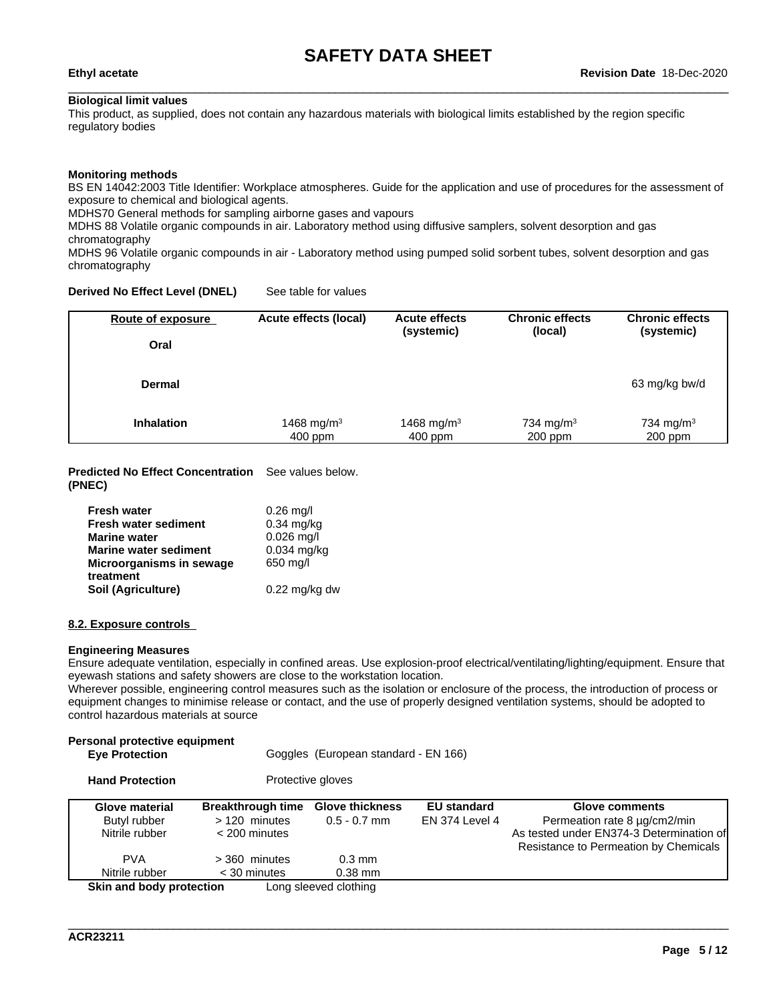#### **Biological limit values**

This product, as supplied, does not contain any hazardous materials with biological limits established by the region specific regulatory bodies

#### **Monitoring methods**

BS EN 14042:2003 Title Identifier: Workplace atmospheres. Guide for the application and use of procedures for the assessment of exposure to chemical and biological agents.

MDHS70 General methods for sampling airborne gases and vapours

MDHS 88 Volatile organic compounds in air. Laboratory method using diffusive samplers, solvent desorption and gas chromatography

MDHS 96 Volatile organic compounds in air - Laboratory method using pumped solid sorbent tubes, solvent desorption and gas chromatography

### **Derived No Effect Level (DNEL)** See table for values

| Route of exposure | Acute effects (local) | <b>Acute effects</b> | <b>Chronic effects</b> | <b>Chronic effects</b> |
|-------------------|-----------------------|----------------------|------------------------|------------------------|
| Oral              |                       | (systemic)           | (local)                | (systemic)             |
| <b>Dermal</b>     |                       |                      |                        | 63 mg/kg bw/d          |
| <b>Inhalation</b> | 1468 mg/m $3$         | 1468 mg/m $3$        | 734 mg/m <sup>3</sup>  | 734 mg/m <sup>3</sup>  |
|                   | $400$ ppm             | $400$ ppm            | $200$ ppm              | $200$ ppm              |

#### **Predicted No Effect Concentration** See values below. **(PNEC)**

| <b>Fresh water</b>           | $0.26$ mg/l             |
|------------------------------|-------------------------|
| <b>Fresh water sediment</b>  | $0.34$ mg/kg            |
| <b>Marine water</b>          | $0.026$ mg/l            |
| <b>Marine water sediment</b> | $0.034$ mg/kg           |
| Microorganisms in sewage     | 650 mg/l                |
| treatment                    |                         |
| Soil (Agriculture)           | $0.22 \text{ mg/kg}$ dw |

#### **8.2. Exposure controls**

#### **Engineering Measures**

Ensure adequate ventilation, especially in confined areas. Use explosion-proof electrical/ventilating/lighting/equipment. Ensure that eyewash stations and safety showers are close to the workstation location.

Wherever possible, engineering control measures such as the isolation or enclosure of the process, the introduction of process or equipment changes to minimise release or contact, and the use of properly designed ventilation systems, should be adopted to control hazardous materials at source

| Personal protective equipment<br><b>Eye Protection</b> |                          | Goggles (European standard - EN 166) |                    |                                          |
|--------------------------------------------------------|--------------------------|--------------------------------------|--------------------|------------------------------------------|
| <b>Hand Protection</b>                                 |                          | Protective gloves                    |                    |                                          |
| Glove material                                         | <b>Breakthrough time</b> | <b>Glove thickness</b>               | <b>EU</b> standard | Glove comments                           |
| Butyl rubber                                           | $>120$ minutes           | $0.5 - 0.7$ mm                       | EN 374 Level 4     | Permeation rate 8 µg/cm2/min             |
| Nitrile rubber                                         | $<$ 200 minutes          |                                      |                    | As tested under EN374-3 Determination of |
|                                                        |                          |                                      |                    | Resistance to Permeation by Chemicals    |
| <b>PVA</b>                                             | $>$ 360 minutes          | $0.3 \text{ mm}$                     |                    |                                          |
| Nitrile rubber                                         | $<$ 30 minutes           | $0.38$ mm                            |                    |                                          |
| Skin and body protection                               |                          | Long sleeved clothing                |                    |                                          |

\_\_\_\_\_\_\_\_\_\_\_\_\_\_\_\_\_\_\_\_\_\_\_\_\_\_\_\_\_\_\_\_\_\_\_\_\_\_\_\_\_\_\_\_\_\_\_\_\_\_\_\_\_\_\_\_\_\_\_\_\_\_\_\_\_\_\_\_\_\_\_\_\_\_\_\_\_\_\_\_\_\_\_\_\_\_\_\_\_\_\_\_\_\_

**ACR23211**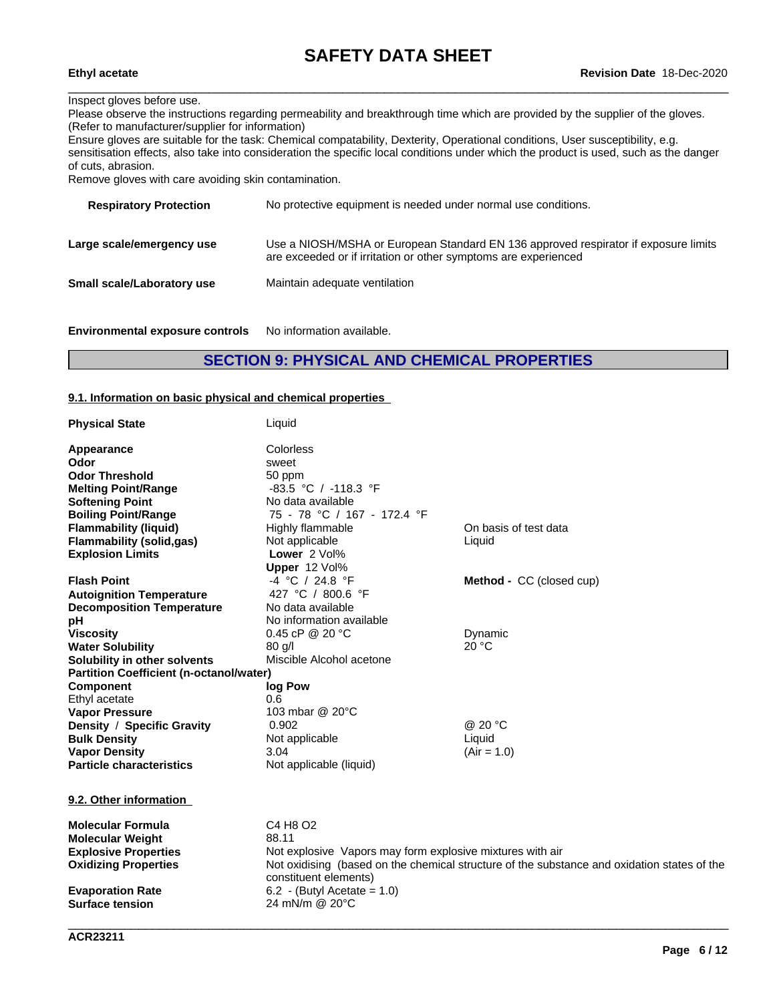### Inspect gloves before use.

Please observe the instructions regarding permeability and breakthrough time which are provided by the supplier of the gloves. (Refer to manufacturer/supplier for information)

Ensure gloves are suitable for the task: Chemical compatability, Dexterity, Operational conditions, User susceptibility, e.g. sensitisation effects, also take into consideration the specific local conditions under which the product is used, such as the danger of cuts, abrasion.

Remove gloves with care avoiding skin contamination.

| <b>Respiratory Protection</b> | No protective equipment is needed under normal use conditions.                                                                                         |
|-------------------------------|--------------------------------------------------------------------------------------------------------------------------------------------------------|
| Large scale/emergency use     | Use a NIOSH/MSHA or European Standard EN 136 approved respirator if exposure limits<br>are exceeded or if irritation or other symptoms are experienced |
| Small scale/Laboratory use    | Maintain adequate ventilation                                                                                                                          |
|                               |                                                                                                                                                        |

**Environmental exposure controls** No information available.

# **SECTION 9: PHYSICAL AND CHEMICAL PROPERTIES**

#### **9.1. Information on basic physical and chemical properties**

| <b>Physical State</b>                          | Liquid                                                    |                                                                                             |
|------------------------------------------------|-----------------------------------------------------------|---------------------------------------------------------------------------------------------|
| Appearance                                     | Colorless                                                 |                                                                                             |
| Odor                                           | sweet                                                     |                                                                                             |
| <b>Odor Threshold</b>                          | 50 ppm                                                    |                                                                                             |
| <b>Melting Point/Range</b>                     | $-83.5$ °C / $-118.3$ °F                                  |                                                                                             |
| <b>Softening Point</b>                         | No data available                                         |                                                                                             |
| <b>Boiling Point/Range</b>                     | 75 - 78 °C / 167 - 172.4 °F                               |                                                                                             |
| <b>Flammability (liquid)</b>                   | Highly flammable                                          | On basis of test data                                                                       |
| <b>Flammability (solid,gas)</b>                | Not applicable                                            | Liquid                                                                                      |
| <b>Explosion Limits</b>                        | Lower 2 Vol%                                              |                                                                                             |
|                                                | Upper 12 Vol%                                             |                                                                                             |
| <b>Flash Point</b>                             | -4 °C / 24.8 °F                                           | Method - CC (closed cup)                                                                    |
| <b>Autoignition Temperature</b>                | 427 °C / 800.6 °F                                         |                                                                                             |
| <b>Decomposition Temperature</b>               | No data available                                         |                                                                                             |
| рH                                             | No information available                                  |                                                                                             |
| <b>Viscosity</b>                               | 0.45 cP @ 20 $°C$                                         | Dynamic                                                                                     |
| <b>Water Solubility</b>                        | $80$ g/l                                                  | 20 °C                                                                                       |
| Solubility in other solvents                   | Miscible Alcohol acetone                                  |                                                                                             |
| <b>Partition Coefficient (n-octanol/water)</b> |                                                           |                                                                                             |
| <b>Component</b>                               | log Pow                                                   |                                                                                             |
| Ethyl acetate                                  | 0.6                                                       |                                                                                             |
| <b>Vapor Pressure</b>                          | 103 mbar @ 20°C                                           |                                                                                             |
| Density / Specific Gravity                     | 0.902                                                     | @ 20 °C                                                                                     |
| <b>Bulk Density</b>                            | Not applicable                                            | Liquid                                                                                      |
| <b>Vapor Density</b>                           | 3.04                                                      | $(Air = 1.0)$                                                                               |
| <b>Particle characteristics</b>                | Not applicable (liquid)                                   |                                                                                             |
| 9.2. Other information                         |                                                           |                                                                                             |
| <b>Molecular Formula</b>                       | C4 H8 O2                                                  |                                                                                             |
| <b>Molecular Weight</b>                        | 88.11                                                     |                                                                                             |
| <b>Explosive Properties</b>                    | Not explosive Vapors may form explosive mixtures with air |                                                                                             |
| <b>Oxidizing Properties</b>                    |                                                           | Not oxidising (based on the chemical structure of the substance and oxidation states of the |
|                                                | constituent elements)                                     |                                                                                             |
| <b>Evaporation Rate</b>                        | 6.2 - (Butyl Acetate = $1.0$ )                            |                                                                                             |
| <b>Surface tension</b>                         | 24 mN/m @ 20°C                                            |                                                                                             |
|                                                |                                                           |                                                                                             |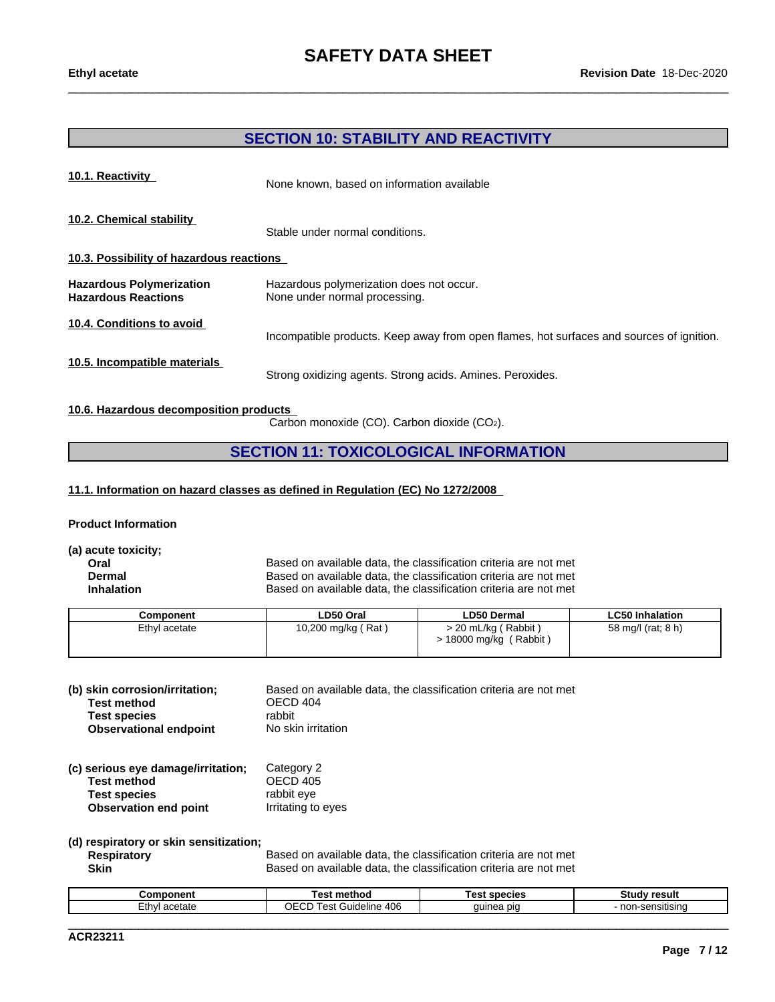## **SECTION 10: STABILITY AND REACTIVITY**

| 10.1. Reactivity                                              | None known, based on information available                                               |  |  |  |  |
|---------------------------------------------------------------|------------------------------------------------------------------------------------------|--|--|--|--|
| 10.2. Chemical stability                                      | Stable under normal conditions.                                                          |  |  |  |  |
| 10.3. Possibility of hazardous reactions                      |                                                                                          |  |  |  |  |
| <b>Hazardous Polymerization</b><br><b>Hazardous Reactions</b> | Hazardous polymerization does not occur.<br>None under normal processing.                |  |  |  |  |
| 10.4. Conditions to avoid                                     | Incompatible products. Keep away from open flames, hot surfaces and sources of ignition. |  |  |  |  |
| 10.5. Incompatible materials                                  | Strong oxidizing agents. Strong acids. Amines. Peroxides.                                |  |  |  |  |

#### **10.6. Hazardous decomposition products**

Carbon monoxide (CO). Carbon dioxide (CO2).

# **SECTION 11: TOXICOLOGICAL INFORMATION**

#### **11.1. Information on hazard classes as defined in Regulation (EC) No 1272/2008**

#### **Product Information**

**(a) acute toxicity;**

**Oral Based on available data, the classification criteria are not met**<br>**Dermal** Based on available data, the classification criteria are not met **Dermal** Based on available data, the classification criteria are not met<br> **Inhalation** Based on available data, the classification criteria are not met Based on available data, the classification criteria are not met

| Component     | ∟D50 Oral            | <b>LD50 Dermal</b>                               | <b>LC50 Inhalation</b> |
|---------------|----------------------|--------------------------------------------------|------------------------|
| Ethyl acetate | 10,200 mg/kg ( Rat ) | > 20 mL/kg ( Rabbit )<br>18000 mg/kg<br>(Rabbit) | 58 mg/l (rat; 8 h)     |

| (b) skin corrosion/irritation; | Based on available data, the classification criteria are not met |
|--------------------------------|------------------------------------------------------------------|
| Test method                    | OECD 404                                                         |
| <b>Test species</b>            | rabbit                                                           |
| <b>Observational endpoint</b>  | No skin irritation                                               |

#### **(c) serious eye damage/irritation;** Category 2 **Test method**<br> **Test species**<br> **Test species**<br> **CO**<br> **CO**<br> **CO**<br> **CO**<br> **CO**<br> **CO**<br> **CO**<br> **CO**<br> **CO**<br> **CO**<br> **CO**<br> **CO**<br> **CO**<br> **CO**<br> **CO**<br> **CO**<br> **CO**<br> **CO Test species Observation end point** Irritating to eyes

**(d) respiratory or skin sensitization;**

**Respiratory** Based on available data, the classification criteria are not met **Skin** Based on available data, the classification criteria are not met

| Component        | method<br>⊥est                               | <b>cnaciac</b><br><b>001</b><br>auculus<br>$-$ | Studv<br>้ result     |
|------------------|----------------------------------------------|------------------------------------------------|-----------------------|
| acetate<br>∴thvi | 406<br>OECD<br>$. \cap$<br>Guideline<br>- 63 | quinea<br>n <sub>1</sub><br>nca piu            | non-.<br>-sensitisina |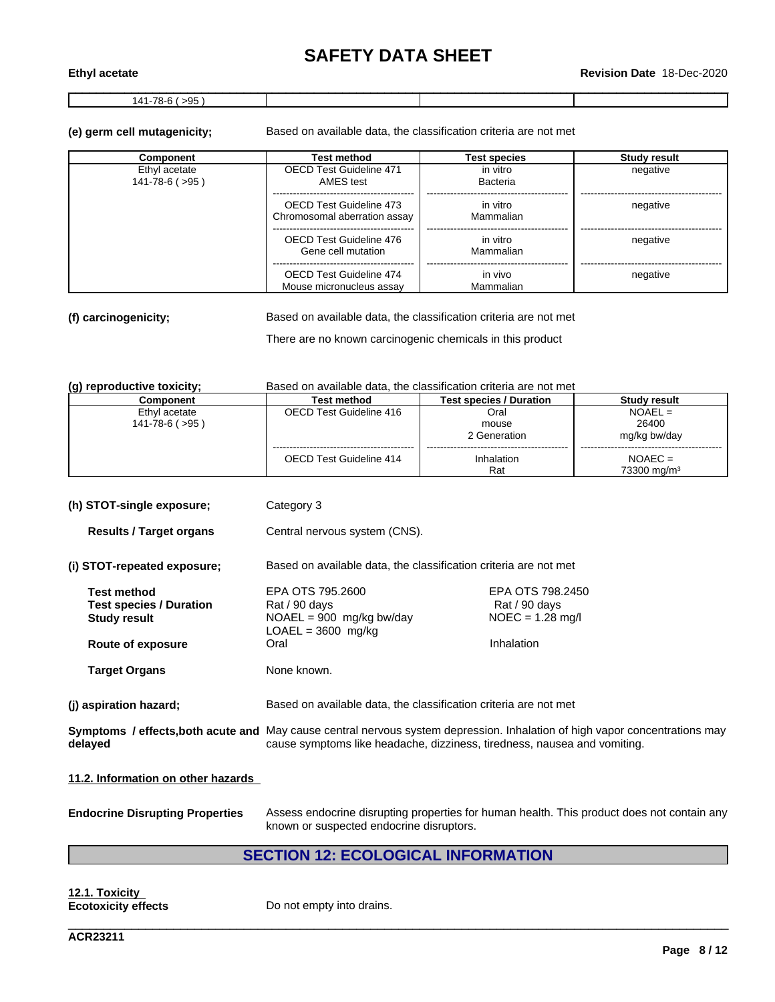\_\_\_\_\_\_\_\_\_\_\_\_\_\_\_\_\_\_\_\_\_\_\_\_\_\_\_\_\_\_\_\_\_\_\_\_\_\_\_\_\_\_\_\_\_\_\_\_\_\_\_\_\_\_\_\_\_\_\_\_\_\_\_\_\_\_\_\_\_\_\_\_\_\_\_\_\_\_\_\_\_\_\_\_\_\_\_\_\_\_\_\_\_\_ **Ethyl acetate Revision Date** 18-Dec-2020

 $141-78-6$  ( $>95$ )

**(e) germ cell mutagenicity;** Based on available data, the classification criteria are not met

| Component                                 | Test method                                             | <b>Test species</b>   | Study result |
|-------------------------------------------|---------------------------------------------------------|-----------------------|--------------|
| Ethyl acetate<br>$141 - 78 - 6$ ( $>95$ ) | <b>OECD Test Guideline 471</b><br>AMES test             | in vitro<br>Bacteria  | negative     |
|                                           | OECD Test Guideline 473<br>Chromosomal aberration assay | in vitro<br>Mammalian | negative     |
|                                           | OECD Test Guideline 476<br>Gene cell mutation           | in vitro<br>Mammalian | negative     |
|                                           | OECD Test Guideline 474<br>Mouse micronucleus assay     | in vivo<br>Mammalian  | negative     |

**(f) carcinogenicity;** Based on available data, the classification criteria are not met

There are no known carcinogenic chemicals in this product

| (g) reproductive toxicity; | Based on available data, the classification criteria are not met |  |
|----------------------------|------------------------------------------------------------------|--|
|----------------------------|------------------------------------------------------------------|--|

| (g) reproductive toxicity,                                                                                                             | Based on available data, the classification chilena are not met  |                                                                          |                         |
|----------------------------------------------------------------------------------------------------------------------------------------|------------------------------------------------------------------|--------------------------------------------------------------------------|-------------------------|
| Component                                                                                                                              | <b>Test method</b>                                               | <b>Test species / Duration</b>                                           | <b>Study result</b>     |
| Ethyl acetate                                                                                                                          | <b>OECD Test Guideline 416</b>                                   | Oral                                                                     | $NOAEL =$               |
| $141 - 78 - 6$ ( $>95$ )                                                                                                               |                                                                  | mouse                                                                    | 26400                   |
|                                                                                                                                        |                                                                  | 2 Generation                                                             | mg/kg bw/day            |
|                                                                                                                                        | <b>OECD Test Guideline 414</b>                                   | Inhalation                                                               | $NOAEC =$               |
|                                                                                                                                        |                                                                  | Rat                                                                      | 73300 mg/m <sup>3</sup> |
|                                                                                                                                        |                                                                  |                                                                          |                         |
| (h) STOT-single exposure;                                                                                                              | Category 3                                                       |                                                                          |                         |
| <b>Results / Target organs</b>                                                                                                         | Central nervous system (CNS).                                    |                                                                          |                         |
| (i) STOT-repeated exposure;                                                                                                            | Based on available data, the classification criteria are not met |                                                                          |                         |
| <b>Test method</b>                                                                                                                     | EPA OTS 795,2600                                                 | EPA OTS 798.2450                                                         |                         |
| <b>Test species / Duration</b>                                                                                                         | Rat / 90 days                                                    | Rat / 90 days                                                            |                         |
| <b>Study result</b>                                                                                                                    | $NOAEL = 900$ mg/kg bw/day<br>$LOAEL = 3600$ mg/kg               | $NOEC = 1.28$ mg/l                                                       |                         |
| Route of exposure                                                                                                                      | Oral                                                             | Inhalation                                                               |                         |
| <b>Target Organs</b>                                                                                                                   | None known.                                                      |                                                                          |                         |
| (i) aspiration hazard;                                                                                                                 | Based on available data, the classification criteria are not met |                                                                          |                         |
| Symptoms / effects, both acute and May cause central nervous system depression. Inhalation of high vapor concentrations may<br>delayed |                                                                  | cause symptoms like headache, dizziness, tiredness, nausea and vomiting. |                         |
| 11.2. Information on other hazards                                                                                                     |                                                                  |                                                                          |                         |

**Endocrine Disrupting Properties** Assess endocrine disrupting properties for human health. This product does not contain any known or suspected endocrine disruptors.

# **SECTION 12: ECOLOGICAL INFORMATION**

\_\_\_\_\_\_\_\_\_\_\_\_\_\_\_\_\_\_\_\_\_\_\_\_\_\_\_\_\_\_\_\_\_\_\_\_\_\_\_\_\_\_\_\_\_\_\_\_\_\_\_\_\_\_\_\_\_\_\_\_\_\_\_\_\_\_\_\_\_\_\_\_\_\_\_\_\_\_\_\_\_\_\_\_\_\_\_\_\_\_\_\_\_\_

**12.1. Toxicity**

**Ecotoxicity effects** Do not empty into drains.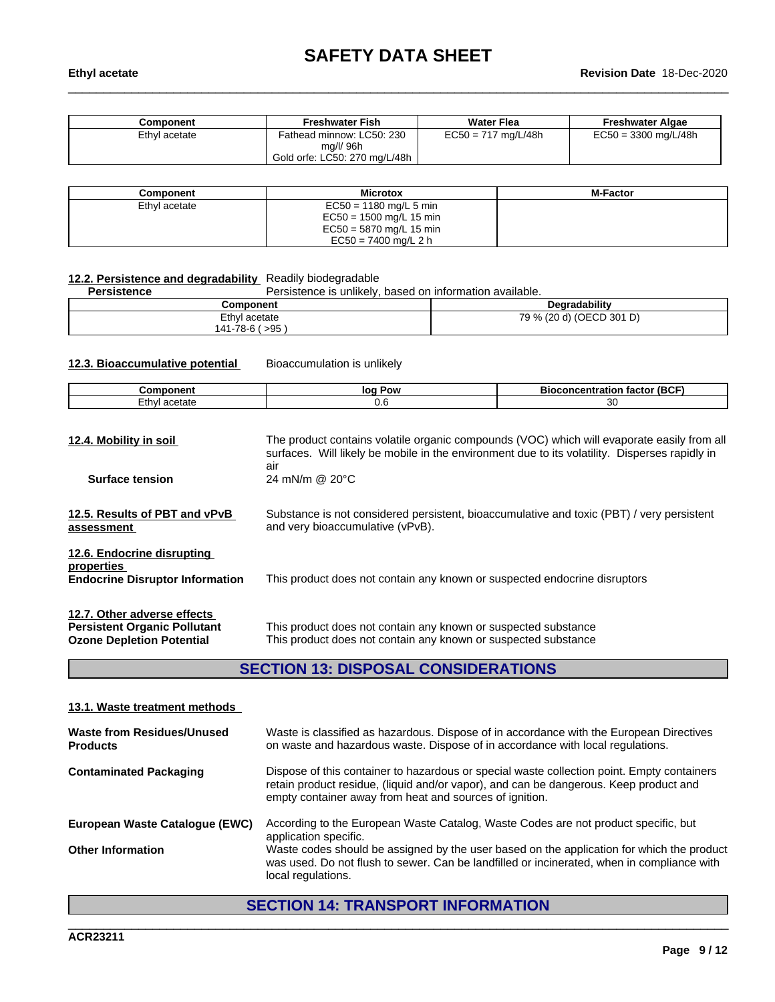| Component     | <b>Freshwater Fish</b>                                                  | <b>Water Flea</b>     | <b>Freshwater Algae</b> |
|---------------|-------------------------------------------------------------------------|-----------------------|-------------------------|
| Ethyl acetate | Fathead minnow: LC50: 230<br>mg/l/ 96h<br>Gold orfe: LC50: 270 mg/L/48h | $EC50 = 717$ mg/L/48h | $EC50 = 3300$ mg/L/48h  |

| Component     | <b>Microtox</b>           | <b>M-Factor</b> |
|---------------|---------------------------|-----------------|
| Ethyl acetate | $EC50 = 1180$ mg/L 5 min  |                 |
|               | $EC50 = 1500$ mg/L 15 min |                 |
|               | $EC50 = 5870$ mg/L 15 min |                 |
|               | $EC50 = 7400$ ma/L 2 h    |                 |

# **12.2. Persistence and degradability** Readily biodegradable

Persistence is unlikely, based on information available.

| Component              | Degradability                       |
|------------------------|-------------------------------------|
| Ethyl<br>acetate<br>70 | (OECD 301 D)<br>70<br>79 %<br>120 C |
| >95<br>41،<br>$\sim$   |                                     |

**12.3. Bioaccumulative potential** Bioaccumulation is unlikely

| Λr<br>.          | $\mathbf{a}$<br>.or | 16 L<br>DІ<br>. . |
|------------------|---------------------|-------------------|
| ٠.<br>нате<br>ЕU | U.L                 | ז ר               |

| 12.4. Mobility in soil                                                                                 | The product contains volatile organic compounds (VOC) which will evaporate easily from all<br>surfaces. Will likely be mobile in the environment due to its volatility. Disperses rapidly in<br>air |
|--------------------------------------------------------------------------------------------------------|-----------------------------------------------------------------------------------------------------------------------------------------------------------------------------------------------------|
| <b>Surface tension</b>                                                                                 | 24 mN/m @ $20^{\circ}$ C                                                                                                                                                                            |
| 12.5. Results of PBT and vPvB<br>assessment                                                            | Substance is not considered persistent, bioaccumulative and toxic (PBT) / very persistent<br>and very bioaccumulative (vPvB).                                                                       |
| 12.6. Endocrine disrupting<br>properties<br><b>Endocrine Disruptor Information</b>                     | This product does not contain any known or suspected endocrine disruptors                                                                                                                           |
| 12.7. Other adverse effects<br><b>Persistent Organic Pollutant</b><br><b>Ozone Depletion Potential</b> | This product does not contain any known or suspected substance<br>This product does not contain any known or suspected substance                                                                    |

# **SECTION 13: DISPOSAL CONSIDERATIONS**

#### **13.1. Waste treatment methods**

| Waste from Residues/Unused<br><b>Products</b> | Waste is classified as hazardous. Dispose of in accordance with the European Directives<br>on waste and hazardous waste. Dispose of in accordance with local regulations.                                                                      |
|-----------------------------------------------|------------------------------------------------------------------------------------------------------------------------------------------------------------------------------------------------------------------------------------------------|
| <b>Contaminated Packaging</b>                 | Dispose of this container to hazardous or special waste collection point. Empty containers<br>retain product residue, (liquid and/or vapor), and can be dangerous. Keep product and<br>empty container away from heat and sources of ignition. |
| European Waste Catalogue (EWC)                | According to the European Waste Catalog, Waste Codes are not product specific, but<br>application specific.                                                                                                                                    |
| <b>Other Information</b>                      | Waste codes should be assigned by the user based on the application for which the product<br>was used. Do not flush to sewer. Can be landfilled or incinerated, when in compliance with<br>local regulations.                                  |

# **SECTION 14: TRANSPORT INFORMATION**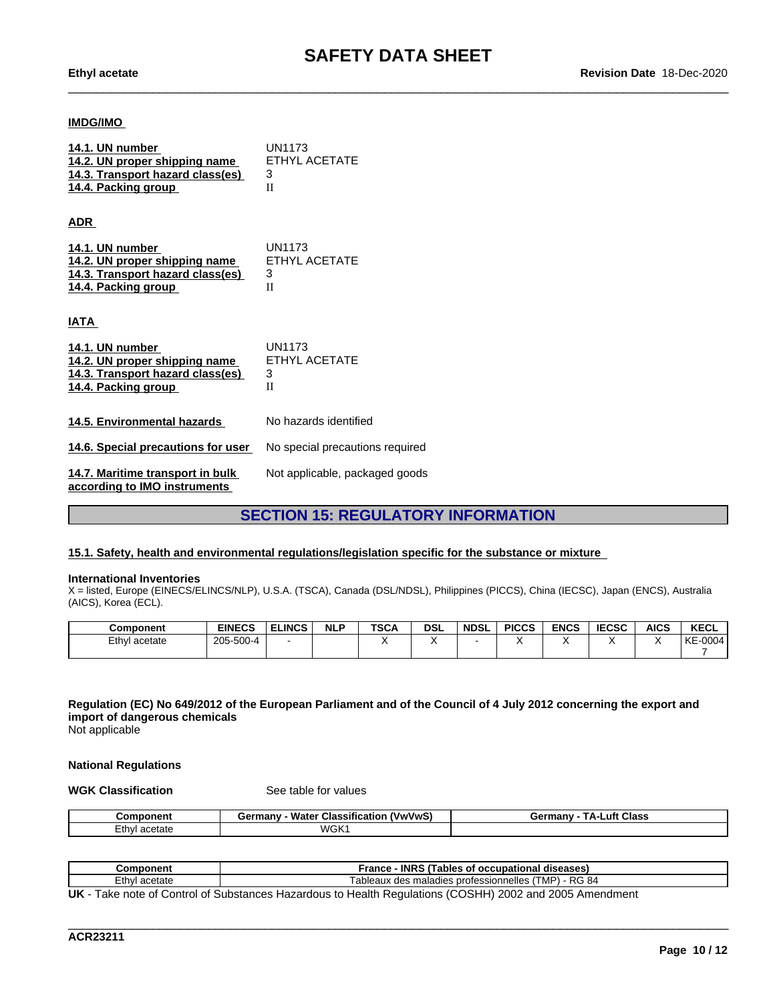#### **IMDG/IMO**

| 14.1. UN number                  | UN1173        |
|----------------------------------|---------------|
| 14.2. UN proper shipping name    | ETHYL ACETATE |
| 14.3. Transport hazard class(es) |               |
| 14.4. Packing group              |               |

**ADR** 

| 14.1. UN number                  | UN1173        |
|----------------------------------|---------------|
| 14.2. UN proper shipping name    | ETHYL ACETATE |
| 14.3. Transport hazard class(es) |               |
| 14.4. Packing group              |               |

**IATA** 

| 14.1. UN number<br>14.2. UN proper shipping name<br>14.3. Transport hazard class(es)<br>14.4. Packing group | UN1173<br>ETHYL ACETATE<br>3<br>П |
|-------------------------------------------------------------------------------------------------------------|-----------------------------------|
| 14.5. Environmental hazards                                                                                 | No hazards identified             |
| 14.6. Special precautions for user                                                                          | No special precautions required   |
| 14.7. Maritime transport in bulk<br>according to IMO instruments                                            | Not applicable, packaged goods    |

# **SECTION 15: REGULATORY INFORMATION**

#### **15.1. Safety, health and environmental regulations/legislation specific for the substance or mixture**

#### **International Inventories**

X = listed, Europe (EINECS/ELINCS/NLP), U.S.A. (TSCA), Canada (DSL/NDSL), Philippines (PICCS), China (IECSC), Japan (ENCS), Australia (AICS), Korea (ECL).

| <b>Component</b> | <b>EINECS</b> | <b>ELINCS</b> | <b>NLP</b> | <b>TSCA</b> | <b>DSL</b> | <b>NDSL</b> | <b>PICCS</b> | <b>ENCS</b> | <b>IECSC</b> | <b>AICS</b> | <b>KECL</b>   |
|------------------|---------------|---------------|------------|-------------|------------|-------------|--------------|-------------|--------------|-------------|---------------|
| Ethyl acetate    | 205-500-4     |               |            |             |            |             |              |             |              |             | $-0004$<br>KE |
|                  |               |               |            |             |            |             |              |             |              |             |               |

## Regulation (EC) No 649/2012 of the European Parliament and of the Council of 4 July 2012 concerning the export and **import of dangerous chemicals**

Not applicable

#### **National Regulations**

**WGK Classification** See table for values

| Component        | .<br><b>Water Classification</b><br>. (VwVwS)<br>Germany | Luft Class<br>Germany<br>. д. |
|------------------|----------------------------------------------------------|-------------------------------|
| ∠th∨l<br>acetate | WGK1                                                     |                               |

| Component                                                                                                      | <b>INRS</b><br><b>/ Tables of occupational)</b> ا<br>France<br>diseases) |  |  |  |  |
|----------------------------------------------------------------------------------------------------------------|--------------------------------------------------------------------------|--|--|--|--|
| ∠th∨l<br>ำcetate                                                                                               | - RG 84<br>'MP<br>Tableaux des maladies professionnelles '               |  |  |  |  |
| 1 HZ<br>Lette is the of Control of Cubetonese Hoperdaug to Hoolth Demulations (COOHIL) 2002 and 2005 Americans |                                                                          |  |  |  |  |

\_\_\_\_\_\_\_\_\_\_\_\_\_\_\_\_\_\_\_\_\_\_\_\_\_\_\_\_\_\_\_\_\_\_\_\_\_\_\_\_\_\_\_\_\_\_\_\_\_\_\_\_\_\_\_\_\_\_\_\_\_\_\_\_\_\_\_\_\_\_\_\_\_\_\_\_\_\_\_\_\_\_\_\_\_\_\_\_\_\_\_\_\_\_

**UK** - Take note of Control of Substances Hazardous to Health Regulations (COSHH) 2002 and 2005 Amendment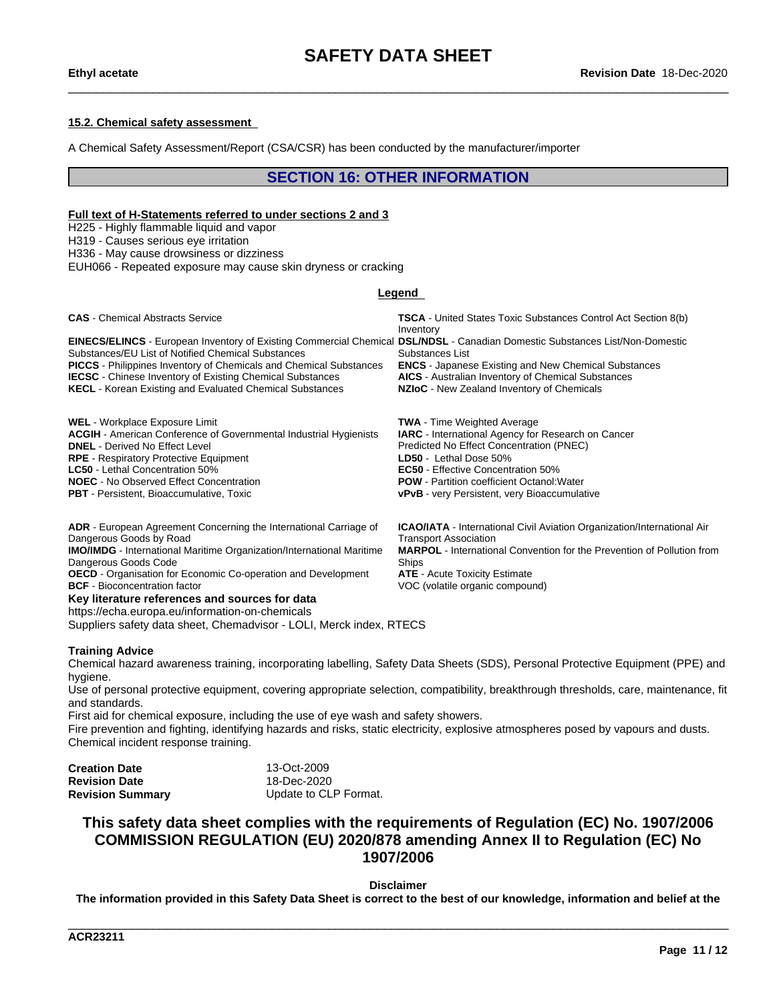#### **15.2. Chemical safety assessment**

A Chemical Safety Assessment/Report (CSA/CSR) has been conducted by the manufacturer/importer

## **SECTION 16: OTHER INFORMATION**

#### **Full text of H-Statements referred to undersections 2 and 3**

H225 - Highly flammable liquid and vapor

H319 - Causes serious eye irritation

H336 - May cause drowsiness or dizziness

EUH066 - Repeated exposure may cause skin dryness or cracking

#### **Legend**

**CAS** - Chemical Abstracts Service **TSCA** - United States Toxic Substances Control Act Section 8(b) Inventory **EINECS/ELINCS** - European Inventory of Existing Commercial Chemical **DSL/NDSL** - Canadian Domestic Substances List/Non-Domestic Substances/EU List of Notified Chemical Substances Substances List **PICCS** - Philippines Inventory of Chemicals and Chemical Substances **ENCS** - Japanese Existing and New Chemical Substances **IECSC** - Chinese Inventory of Existing Chemical Substances **AICS** - Australian Inventory of Chemical Substances **KECL** - Korean Existing and Evaluated Chemical Substances **NZIoC** - New Zealand Inventory of Chemicals **WEL** - Workplace Exposure Limit **TWA** - Time Weighted Average

**ACGIH** - American Conference of Governmental Industrial Hygienists **IARC** - International Agency for Research on Cancer **DNEL** - Derived No Effect Level **Predicted No Effect Concentration (PNEC) RPE** - Respiratory Protective Equipment **LD50** - Lethal Dose 50% **LC50** - Lethal Concentration 50%<br> **NOEC** - No Observed Effect Concentration<br> **NOEC** - No Observed Effect Concentration<br> **NOEC** - No Observed Effect Concentration **NOEC** - No Observed Effect Concentration **PBT** - Persistent, Bioaccumulative, Toxic **very Property Community vPvB** - very Persistent, very Bioaccumulative

> **ICAO/IATA** - International Civil Aviation Organization/International Air Transport Association **MARPOL** - International Convention for the Prevention of Pollution from **Ships**

**ADR** - European Agreement Concerning the International Carriage of Dangerous Goods by Road

**IMO/IMDG** - International Maritime Organization/International Maritime Dangerous Goods Code

**OECD** - Organisation for Economic Co-operation and Development **ATE** - Acute Toxicity Estimate **BCF** - Bioconcentration factor **VOC** (volatile organic compound)

#### **Key literature references and sources for data**

https://echa.europa.eu/information-on-chemicals

Suppliers safety data sheet, Chemadvisor - LOLI, Merck index, RTECS

#### **Training Advice**

Chemical hazard awareness training, incorporating labelling, Safety Data Sheets (SDS), Personal Protective Equipment (PPE) and hygiene.

Use of personal protective equipment, covering appropriate selection, compatibility, breakthrough thresholds, care, maintenance, fit and standards.

First aid for chemical exposure, including the use of eye wash and safety showers.<br>Fire prevention and fighting, identifying hazards and risks, static electricity, explosive atmospheres posed by vapours and dusts. Chemical incident response training.

| <b>Creation Date</b>    | 13-Oct-2009           |
|-------------------------|-----------------------|
| <b>Revision Date</b>    | 18-Dec-2020           |
| <b>Revision Summary</b> | Update to CLP Format. |

# **This safety data sheet complies with the requirements of Regulation (EC) No. 1907/2006 COMMISSION REGULATION (EU) 2020/878 amending Annex II to Regulation (EC) No 1907/2006**

**Disclaimer**

The information provided in this Safety Data Sheet is correct to the best of our knowledge, information and belief at the